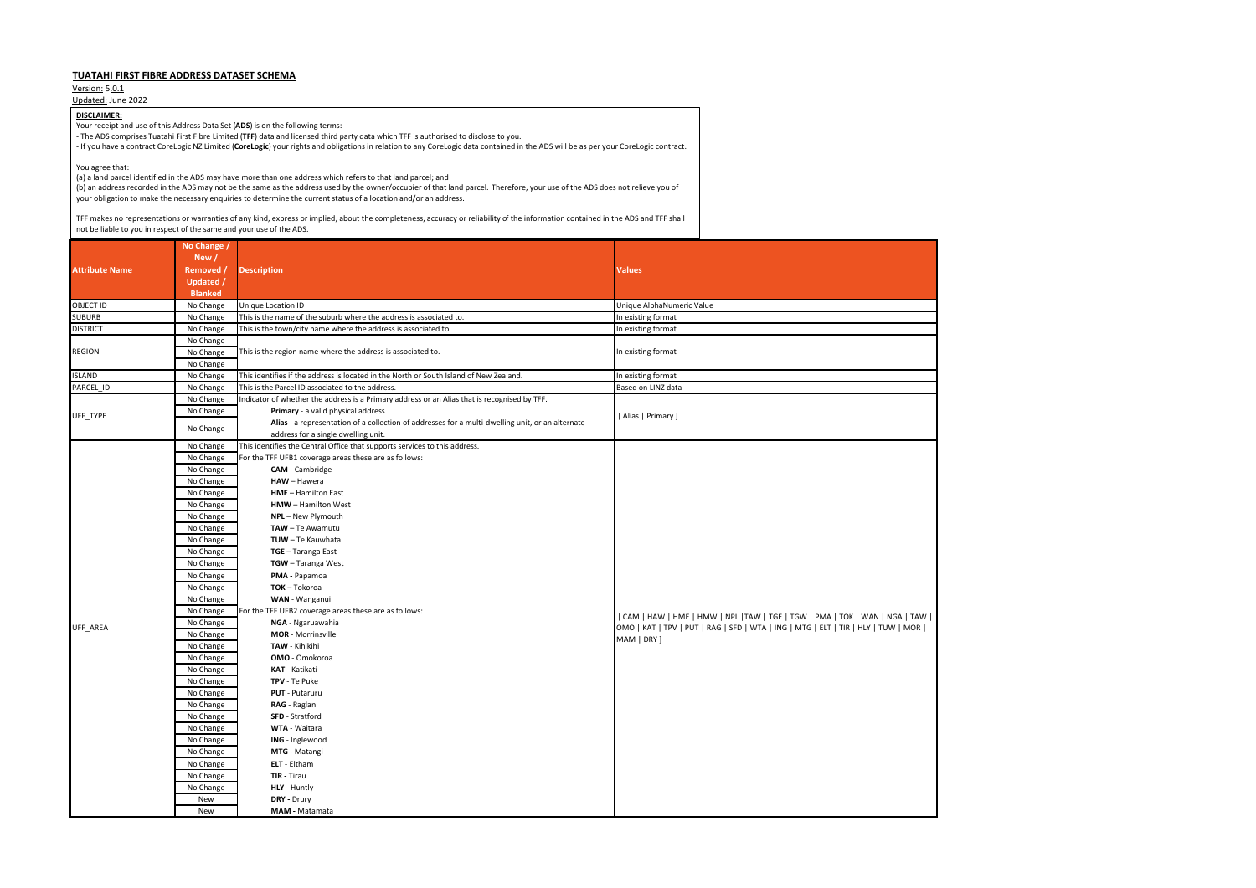## **TUATAHI FIRST FIBRE ADDRESS DATASET SCHEMA**

Version: 5.0.1

Updated: June 2022

|                       | No Change /      |                                                                                                  |                                                                                                                                                                                        |
|-----------------------|------------------|--------------------------------------------------------------------------------------------------|----------------------------------------------------------------------------------------------------------------------------------------------------------------------------------------|
|                       | New /            |                                                                                                  |                                                                                                                                                                                        |
| <b>Attribute Name</b> | Removed /        | <b>Description</b>                                                                               | <b>Values</b>                                                                                                                                                                          |
|                       | <b>Updated /</b> |                                                                                                  |                                                                                                                                                                                        |
|                       | <b>Blanked</b>   |                                                                                                  |                                                                                                                                                                                        |
| <b>OBJECT ID</b>      | No Change        | Unique Location ID                                                                               | Unique AlphaNumeric Value                                                                                                                                                              |
| <b>SUBURB</b>         | No Change        | This is the name of the suburb where the address is associated to.                               | In existing format                                                                                                                                                                     |
| <b>DISTRICT</b>       | No Change        | This is the town/city name where the address is associated to.                                   | In existing format                                                                                                                                                                     |
|                       | No Change        |                                                                                                  | In existing format                                                                                                                                                                     |
| <b>REGION</b>         | No Change        | This is the region name where the address is associated to.                                      |                                                                                                                                                                                        |
|                       | No Change        |                                                                                                  |                                                                                                                                                                                        |
| <b>ISLAND</b>         | No Change        | This identifies if the address is located in the North or South Island of New Zealand.           | In existing format                                                                                                                                                                     |
| PARCEL_ID             | No Change        | This is the Parcel ID associated to the address.                                                 | Based on LINZ data                                                                                                                                                                     |
|                       | No Change        | Indicator of whether the address is a Primary address or an Alias that is recognised by TFF.     |                                                                                                                                                                                        |
| UFF_TYPE              | No Change        | Primary - a valid physical address                                                               | [Alias   Primary ]                                                                                                                                                                     |
|                       | No Change        | Alias - a representation of a collection of addresses for a multi-dwelling unit, or an alternate |                                                                                                                                                                                        |
|                       |                  | address for a single dwelling unit.                                                              |                                                                                                                                                                                        |
|                       | No Change        | This identifies the Central Office that supports services to this address.                       |                                                                                                                                                                                        |
|                       | No Change        | For the TFF UFB1 coverage areas these are as follows:                                            |                                                                                                                                                                                        |
|                       | No Change        | <b>CAM</b> - Cambridge                                                                           |                                                                                                                                                                                        |
|                       | No Change        | HAW - Hawera                                                                                     |                                                                                                                                                                                        |
|                       | No Change        | HME - Hamilton East                                                                              | [CAM   HAW   HME   HMW   NPL   TAW   TGE   TGW   PMA   TOK   WAN   NGA   TAW    <br>OMO   KAT   TPV   PUT   RAG   SFD   WTA   ING   MTG   ELT   TIR   HLY   TUW   MOR  <br>MAM   DRY ] |
|                       | No Change        | <b>HMW</b> - Hamilton West                                                                       |                                                                                                                                                                                        |
|                       | No Change        | NPL - New Plymouth                                                                               |                                                                                                                                                                                        |
|                       | No Change        | TAW - Te Awamutu                                                                                 |                                                                                                                                                                                        |
|                       | No Change        | TUW - Te Kauwhata                                                                                |                                                                                                                                                                                        |
|                       | No Change        | TGE - Taranga East                                                                               |                                                                                                                                                                                        |
|                       | No Change        | TGW - Taranga West                                                                               |                                                                                                                                                                                        |
|                       | No Change        | PMA - Papamoa                                                                                    |                                                                                                                                                                                        |
|                       | No Change        | TOK-Tokoroa                                                                                      |                                                                                                                                                                                        |
|                       | No Change        | WAN - Wanganui                                                                                   |                                                                                                                                                                                        |
|                       | No Change        | For the TFF UFB2 coverage areas these are as follows:                                            |                                                                                                                                                                                        |
| UFF_AREA              | No Change        | NGA - Ngaruawahia                                                                                |                                                                                                                                                                                        |
|                       | No Change        | <b>MOR</b> - Morrinsville                                                                        |                                                                                                                                                                                        |
|                       | No Change        | TAW - Kihikihi                                                                                   |                                                                                                                                                                                        |
|                       | No Change        | <b>OMO</b> - Omokoroa                                                                            |                                                                                                                                                                                        |
|                       | No Change        | KAT - Katikati                                                                                   |                                                                                                                                                                                        |
|                       | No Change        | TPV - Te Puke                                                                                    |                                                                                                                                                                                        |
|                       | No Change        | <b>PUT</b> - Putaruru                                                                            |                                                                                                                                                                                        |
|                       | No Change        | RAG - Raglan                                                                                     |                                                                                                                                                                                        |
|                       | No Change        | SFD - Stratford                                                                                  |                                                                                                                                                                                        |
|                       | No Change        | WTA - Waitara                                                                                    |                                                                                                                                                                                        |
|                       | No Change        | ING - Inglewood                                                                                  |                                                                                                                                                                                        |
|                       | No Change        | MTG - Matangi                                                                                    |                                                                                                                                                                                        |
|                       | No Change        | ELT - Eltham                                                                                     |                                                                                                                                                                                        |
|                       | No Change        | TIR - Tirau                                                                                      |                                                                                                                                                                                        |
|                       | No Change        | HLY - Huntly                                                                                     |                                                                                                                                                                                        |
|                       | New              | DRY - Drury                                                                                      |                                                                                                                                                                                        |
|                       | New              | MAM - Matamata                                                                                   |                                                                                                                                                                                        |

## **DISCLAIMER:**

Your receipt and use of this Address Data Set (**ADS**) is on the following terms:

- The ADS comprises Tuatahi First Fibre Limited (**TFF**) data and licensed third party data which TFF is authorised to disclose to you.

- If you have a contract CoreLogic NZ Limited (**CoreLogic**) your rights and obligations in relation to any CoreLogic data contained in the ADS will be as per your CoreLogic contract.

You agree that:

(a) a land parcel identified in the ADS may have more than one address which refers to that land parcel; and

(b) an address recorded in the ADS may not be the same as the address used by the owner/occupier of that land parcel. Therefore, your use of the ADS does not relieve you of your obligation to make the necessary enquiries to determine the current status of a location and/or an address.

TFF makes no representations or warranties of any kind, express or implied, about the completeness, accuracy or reliability of the information contained in the ADS and TFF shall not be liable to you in respect of the same and your use of the ADS.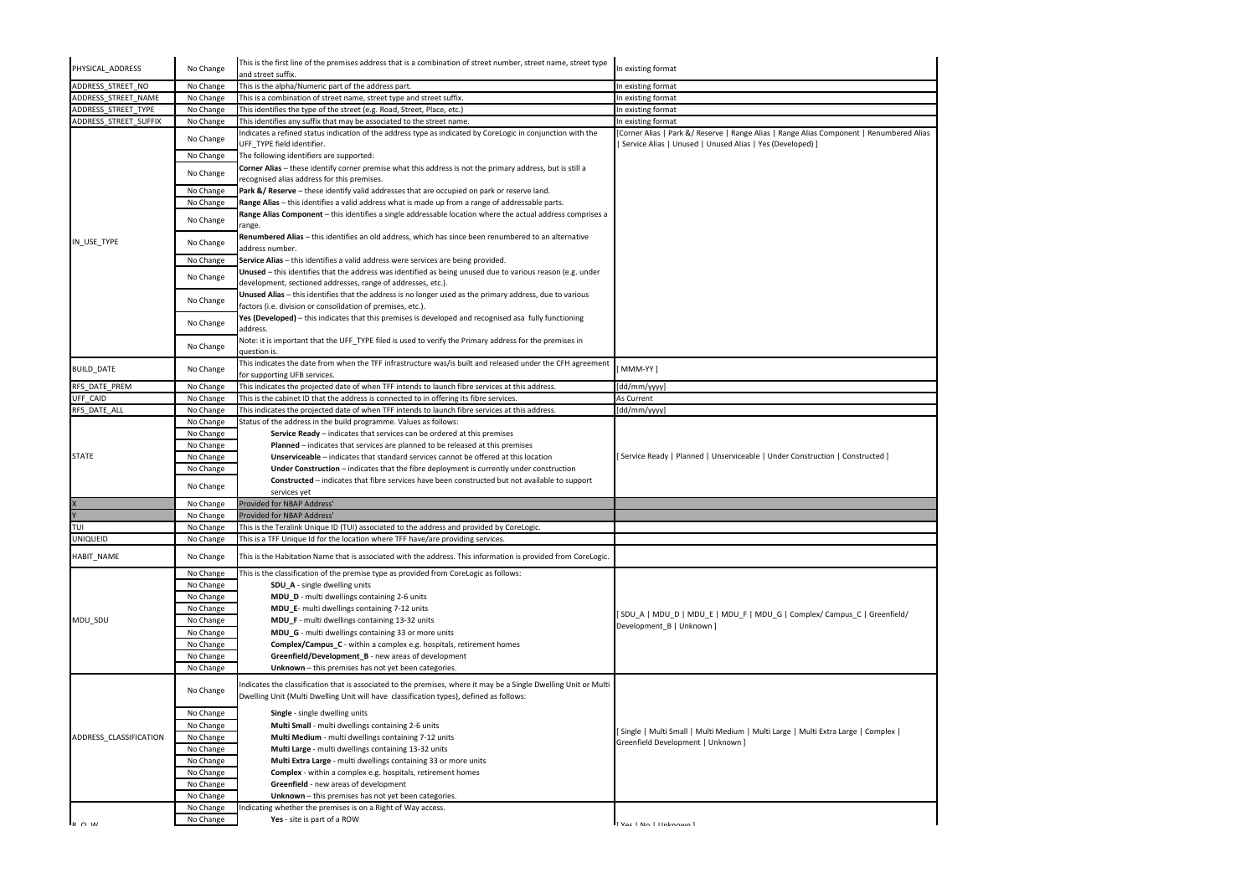| PHYSICAL ADDRESS       | No Change | This is the first line of the premises address that is a combination of street number, street name, street type<br>and street suffix. | In existing format                                                                                    |
|------------------------|-----------|---------------------------------------------------------------------------------------------------------------------------------------|-------------------------------------------------------------------------------------------------------|
| ADDRESS STREET NO      | No Change | This is the alpha/Numeric part of the address part.                                                                                   | In existing format                                                                                    |
|                        |           |                                                                                                                                       |                                                                                                       |
| ADDRESS STREET NAME    | No Change | This is a combination of street name, street type and street suffix.                                                                  | In existing format                                                                                    |
| ADDRESS STREET TYPE    | No Change | This identifies the type of the street (e.g. Road, Street, Place, etc.)                                                               | In existing format                                                                                    |
| ADDRESS STREET SUFFIX  | No Change | This identifies any suffix that may be associated to the street name.                                                                 | In existing format                                                                                    |
|                        | No Change | Indicates a refined status indication of the address type as indicated by CoreLogic in conjunction with the                           | [Corner Alias   Park &/ Reserve   Range Alias   Range Alias Component   Renumbered Alias              |
|                        |           | UFF_TYPE field identifier.                                                                                                            | Service Alias   Unused   Unused Alias   Yes (Developed) ]                                             |
|                        | No Change | The following identifiers are supported:                                                                                              |                                                                                                       |
|                        | No Change | Corner Alias - these identify corner premise what this address is not the primary address, but is still a                             |                                                                                                       |
|                        |           | recognised alias address for this premises.                                                                                           |                                                                                                       |
|                        | No Change | Park &/ Reserve - these identify valid addresses that are occupied on park or reserve land.                                           |                                                                                                       |
|                        | No Change | Range Alias - this identifies a valid address what is made up from a range of addressable parts.                                      |                                                                                                       |
|                        | No Change | Range Alias Component - this identifies a single addressable location where the actual address comprises a                            |                                                                                                       |
|                        |           | range.                                                                                                                                |                                                                                                       |
| IN_USE_TYPE            | No Change | Renumbered Alias - this identifies an old address, which has since been renumbered to an alternative                                  |                                                                                                       |
|                        |           | address number.                                                                                                                       |                                                                                                       |
|                        | No Change | Service Alias - this identifies a valid address were services are being provided.                                                     |                                                                                                       |
|                        | No Change | Unused - this identifies that the address was identified as being unused due to various reason (e.g. under                            |                                                                                                       |
|                        |           | development, sectioned addresses, range of addresses, etc.).                                                                          |                                                                                                       |
|                        | No Change | Unused Alias - this identifies that the address is no longer used as the primary address, due to various                              |                                                                                                       |
|                        |           | factors (i.e. division or consolidation of premises, etc.).                                                                           |                                                                                                       |
|                        | No Change | Yes (Developed) - this indicates that this premises is developed and recognised asa fully functioning                                 |                                                                                                       |
|                        |           | address.                                                                                                                              |                                                                                                       |
|                        | No Change | Note: it is important that the UFF_TYPE filed is used to verify the Primary address for the premises in                               |                                                                                                       |
|                        |           | question is.                                                                                                                          |                                                                                                       |
| <b>BUILD_DATE</b>      | No Change | This indicates the date from when the TFF infrastructure was/is built and released under the CFH agreement                            | MMM-YY ]                                                                                              |
|                        |           | for supporting UFB services.                                                                                                          |                                                                                                       |
| RFS DATE PREM          | No Change | This indicates the projected date of when TFF intends to launch fibre services at this address.                                       | [dd/mm/yyyy]                                                                                          |
| UFF_CAID               | No Change | This is the cabinet ID that the address is connected to in offering its fibre services.                                               | As Current                                                                                            |
| RFS DATE ALL           | No Change | This indicates the projected date of when TFF intends to launch fibre services at this address.                                       | [dd/mm/yyyy]                                                                                          |
|                        | No Change | Status of the address in the build programme. Values as follows:                                                                      |                                                                                                       |
|                        | No Change | <b>Service Ready</b> $-$ indicates that services can be ordered at this premises                                                      |                                                                                                       |
|                        | No Change | Planned - indicates that services are planned to be released at this premises                                                         |                                                                                                       |
| <b>STATE</b>           | No Change | <b>Unserviceable</b> – indicates that standard services cannot be offered at this location                                            | [Service Ready   Planned   Unserviceable   Under Construction   Constructed ]                         |
|                        | No Change | Under Construction - indicates that the fibre deployment is currently under construction                                              |                                                                                                       |
|                        |           | <b>Constructed</b> – indicates that fibre services have been constructed but not available to support                                 |                                                                                                       |
|                        | No Change | services yet                                                                                                                          |                                                                                                       |
|                        |           |                                                                                                                                       |                                                                                                       |
|                        | No Change | Provided for NBAP Address'                                                                                                            |                                                                                                       |
|                        | No Change | Provided for NBAP Address'                                                                                                            |                                                                                                       |
| TUI                    | No Change | This is the Teralink Unique ID (TUI) associated to the address and provided by CoreLogic.                                             |                                                                                                       |
| <b>UNIQUEID</b>        | No Change | This is a TFF Unique Id for the location where TFF have/are providing services.                                                       |                                                                                                       |
| HABIT_NAME             | No Change | This is the Habitation Name that is associated with the address. This information is provided from CoreLogic.                         |                                                                                                       |
|                        |           |                                                                                                                                       |                                                                                                       |
|                        | No Change | This is the classification of the premise type as provided from CoreLogic as follows:                                                 |                                                                                                       |
|                        | No Change | <b>SDU</b> A - single dwelling units                                                                                                  |                                                                                                       |
| MDU SDU                | No Change | MDU_D - multi dwellings containing 2-6 units                                                                                          |                                                                                                       |
|                        | No Change | MDU E- multi dwellings containing 7-12 units                                                                                          |                                                                                                       |
|                        | No Change | MDU_F - multi dwellings containing 13-32 units                                                                                        | [SDU_A   MDU_D   MDU_E   MDU_F   MDU_G   Complex/ Campus_C   Greenfield/<br>Development B   Unknown ] |
|                        | No Change | MDU_G - multi dwellings containing 33 or more units                                                                                   |                                                                                                       |
|                        | No Change | Complex/Campus_C - within a complex e.g. hospitals, retirement homes                                                                  |                                                                                                       |
|                        | No Change | Greenfield/Development B - new areas of development                                                                                   |                                                                                                       |
|                        | No Change | Unknown - this premises has not yet been categories.                                                                                  |                                                                                                       |
|                        |           |                                                                                                                                       |                                                                                                       |
|                        | No Change | Indicates the classification that is associated to the premises, where it may be a Single Dwelling Unit or Multi                      |                                                                                                       |
|                        |           | Dwelling Unit (Multi Dwelling Unit will have classification types), defined as follows:                                               |                                                                                                       |
| ADDRESS_CLASSIFICATION |           |                                                                                                                                       |                                                                                                       |
|                        | No Change | Single - single dwelling units                                                                                                        |                                                                                                       |
|                        | No Change | Multi Small - multi dwellings containing 2-6 units                                                                                    | [Single   Multi Small   Multi Medium   Multi Large   Multi Extra Large   Complex                      |
|                        | No Change | Multi Medium - multi dwellings containing 7-12 units                                                                                  | Greenfield Development   Unknown ]                                                                    |
|                        | No Change | Multi Large - multi dwellings containing 13-32 units                                                                                  |                                                                                                       |
|                        | No Change | Multi Extra Large - multi dwellings containing 33 or more units                                                                       |                                                                                                       |
|                        | No Change | <b>Complex</b> - within a complex e.g. hospitals, retirement homes                                                                    |                                                                                                       |
|                        | No Change | Greenfield - new areas of development                                                                                                 |                                                                                                       |
|                        | No Change | Unknown - this premises has not yet been categories.                                                                                  |                                                                                                       |
|                        |           |                                                                                                                                       |                                                                                                       |
|                        | No Change | Indicating whether the premises is on a Right of Way access.                                                                          |                                                                                                       |
| $R \cap M$             | No Change | Yes - site is part of a ROW                                                                                                           | I Voc   No   Hnknown                                                                                  |